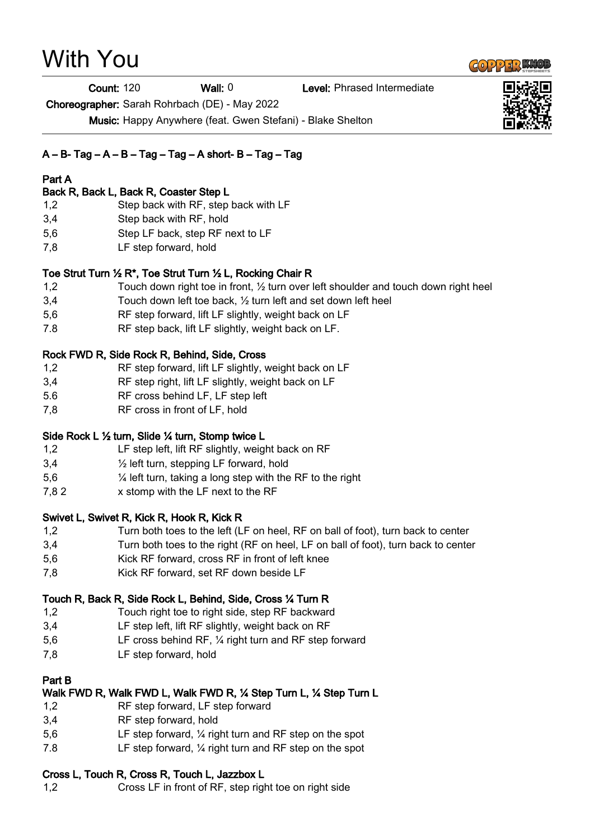# With You

Count: 120 Wall: 0 Level: Phrased Intermediate

Choreographer: Sarah Rohrbach (DE) - May 2022

Music: Happy Anywhere (feat. Gwen Stefani) - Blake Shelton

# $A - B - Tag - A - B - Tag - Tag - A short - B - Tag - Tag$

# Part A

#### Back R, Back L, Back R, Coaster Step L

- 1,2 Step back with RF, step back with LF
- 3,4 Step back with RF, hold
- 5,6 Step LF back, step RF next to LF
- 7,8 LF step forward, hold

# Toe Strut Turn ½ R\*, Toe Strut Turn ½ L, Rocking Chair R

- 1,2 Touch down right toe in front, ½ turn over left shoulder and touch down right heel
- 3,4 Touch down left toe back, ½ turn left and set down left heel
- 5,6 RF step forward, lift LF slightly, weight back on LF
- 7.8 RF step back, lift LF slightly, weight back on LF.

# Rock FWD R, Side Rock R, Behind, Side, Cross

- 1,2 RF step forward, lift LF slightly, weight back on LF
- 3,4 RF step right, lift LF slightly, weight back on LF
- 5.6 RF cross behind LF, LF step left
- 7,8 RF cross in front of LF, hold

# Side Rock L ½ turn, Slide ¼ turn, Stomp twice L

- 1,2 LF step left, lift RF slightly, weight back on RF
- 3,4 ½ left turn, stepping LF forward, hold
- 5,6 ¼ left turn, taking a long step with the RF to the right
- 7,8 2 x stomp with the LF next to the RF

# Swivet L, Swivet R, Kick R, Hook R, Kick R

- 1,2 Turn both toes to the left (LF on heel, RF on ball of foot), turn back to center
- 3,4 Turn both toes to the right (RF on heel, LF on ball of foot), turn back to center
- 5,6 Kick RF forward, cross RF in front of left knee
- 7,8 Kick RF forward, set RF down beside LF

# Touch R, Back R, Side Rock L, Behind, Side, Cross ¼ Turn R

- 1,2 Touch right toe to right side, step RF backward
- 3,4 LF step left, lift RF slightly, weight back on RF
- 5,6 LF cross behind RF, ¼ right turn and RF step forward
- 7,8 LF step forward, hold

# Part B

#### Walk FWD R, Walk FWD L, Walk FWD R, ¼ Step Turn L, ¼ Step Turn L

- 1,2 RF step forward, LF step forward
- 3,4 RF step forward, hold
- 5,6 LF step forward, ¼ right turn and RF step on the spot
- 7.8 LF step forward, ¼ right turn and RF step on the spot

# Cross L, Touch R, Cross R, Touch L, Jazzbox L

1,2 Cross LF in front of RF, step right toe on right side



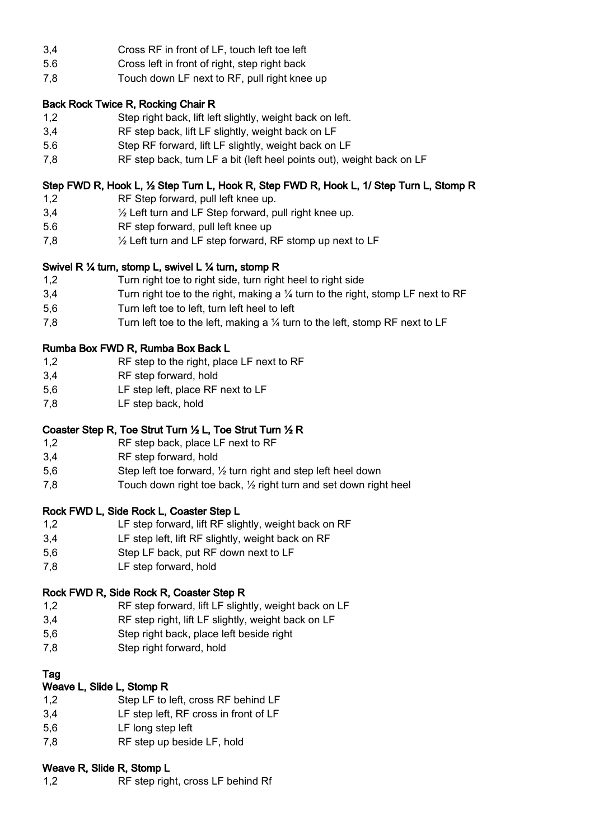- 3,4 Cross RF in front of LF, touch left toe left
- 5.6 Cross left in front of right, step right back
- 7,8 Touch down LF next to RF, pull right knee up

#### Back Rock Twice R, Rocking Chair R

- 1,2 Step right back, lift left slightly, weight back on left.
- 3,4 RF step back, lift LF slightly, weight back on LF
- 5.6 Step RF forward, lift LF slightly, weight back on LF
- 7,8 RF step back, turn LF a bit (left heel points out), weight back on LF

# Step FWD R, Hook L, ½ Step Turn L, Hook R, Step FWD R, Hook L, 1/ Step Turn L, Stomp R

- 1,2 RF Step forward, pull left knee up.
- 3,4 ½ Left turn and LF Step forward, pull right knee up.
- 5.6 RF step forward, pull left knee up
- 7,8 ½ Left turn and LF step forward, RF stomp up next to LF

#### Swivel R ¼ turn, stomp L, swivel L ¼ turn, stomp R

- 1,2 Turn right toe to right side, turn right heel to right side
- 3,4 Turn right toe to the right, making a  $\frac{1}{4}$  turn to the right, stomp LF next to RF
- 5,6 Turn left toe to left, turn left heel to left
- 7,8 Turn left toe to the left, making a ¼ turn to the left, stomp RF next to LF

# Rumba Box FWD R, Rumba Box Back L

- 1,2 RF step to the right, place LF next to RF
- 3,4 RF step forward, hold
- 5,6 LF step left, place RF next to LF
- 7,8 LF step back, hold

# Coaster Step R, Toe Strut Turn ½ L, Toe Strut Turn ½ R

- 1,2 RF step back, place LF next to RF
- 3,4 RF step forward, hold
- 5,6 Step left toe forward, ½ turn right and step left heel down
- 7,8 Touch down right toe back, ½ right turn and set down right heel

# Rock FWD L, Side Rock L, Coaster Step L

- 1,2 LF step forward, lift RF slightly, weight back on RF
- 3,4 LF step left, lift RF slightly, weight back on RF
- 5,6 Step LF back, put RF down next to LF
- 7,8 LF step forward, hold

# Rock FWD R, Side Rock R, Coaster Step R

- 1,2 RF step forward, lift LF slightly, weight back on LF
- 3,4 RF step right, lift LF slightly, weight back on LF
- 5,6 Step right back, place left beside right
- 7,8 Step right forward, hold

# Tag

# Weave L, Slide L, Stomp R

- 1,2 Step LF to left, cross RF behind LF
- 3,4 LF step left, RF cross in front of LF
- 5,6 LF long step left
- 7,8 RF step up beside LF, hold

# Weave R, Slide R, Stomp L

1,2 RF step right, cross LF behind Rf